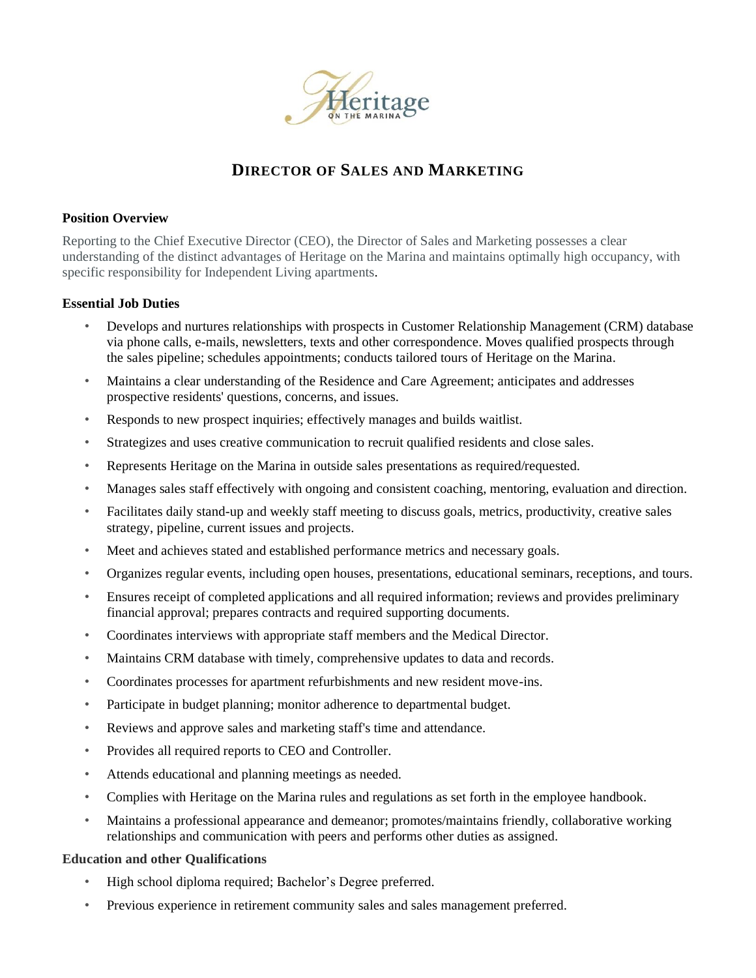

# **DIRECTOR OF SALES AND MARKETING**

### **Position Overview**

Reporting to the Chief Executive Director (CEO), the Director of Sales and Marketing possesses a clear understanding of the distinct advantages of Heritage on the Marina and maintains optimally high occupancy, with specific responsibility for Independent Living apartments.

#### **Essential Job Duties**

- Develops and nurtures relationships with prospects in Customer Relationship Management (CRM) database via phone calls, e-mails, newsletters, texts and other correspondence. Moves qualified prospects through the sales pipeline; schedules appointments; conducts tailored tours of Heritage on the Marina.
- Maintains a clear understanding of the Residence and Care Agreement; anticipates and addresses prospective residents' questions, concerns, and issues.
- Responds to new prospect inquiries; effectively manages and builds waitlist.
- Strategizes and uses creative communication to recruit qualified residents and close sales.
- Represents Heritage on the Marina in outside sales presentations as required/requested.
- Manages sales staff effectively with ongoing and consistent coaching, mentoring, evaluation and direction.
- Facilitates daily stand-up and weekly staff meeting to discuss goals, metrics, productivity, creative sales strategy, pipeline, current issues and projects.
- Meet and achieves stated and established performance metrics and necessary goals.
- Organizes regular events, including open houses, presentations, educational seminars, receptions, and tours.
- Ensures receipt of completed applications and all required information; reviews and provides preliminary financial approval; prepares contracts and required supporting documents.
- Coordinates interviews with appropriate staff members and the Medical Director.
- Maintains CRM database with timely, comprehensive updates to data and records.
- Coordinates processes for apartment refurbishments and new resident move-ins.
- Participate in budget planning; monitor adherence to departmental budget.
- Reviews and approve sales and marketing staff's time and attendance.
- Provides all required reports to CEO and Controller.
- Attends educational and planning meetings as needed.
- Complies with Heritage on the Marina rules and regulations as set forth in the employee handbook.
- Maintains a professional appearance and demeanor; promotes/maintains friendly, collaborative working relationships and communication with peers and performs other duties as assigned.

#### **Education and other Qualifications**

- High school diploma required; Bachelor's Degree preferred.
- Previous experience in retirement community sales and sales management preferred.